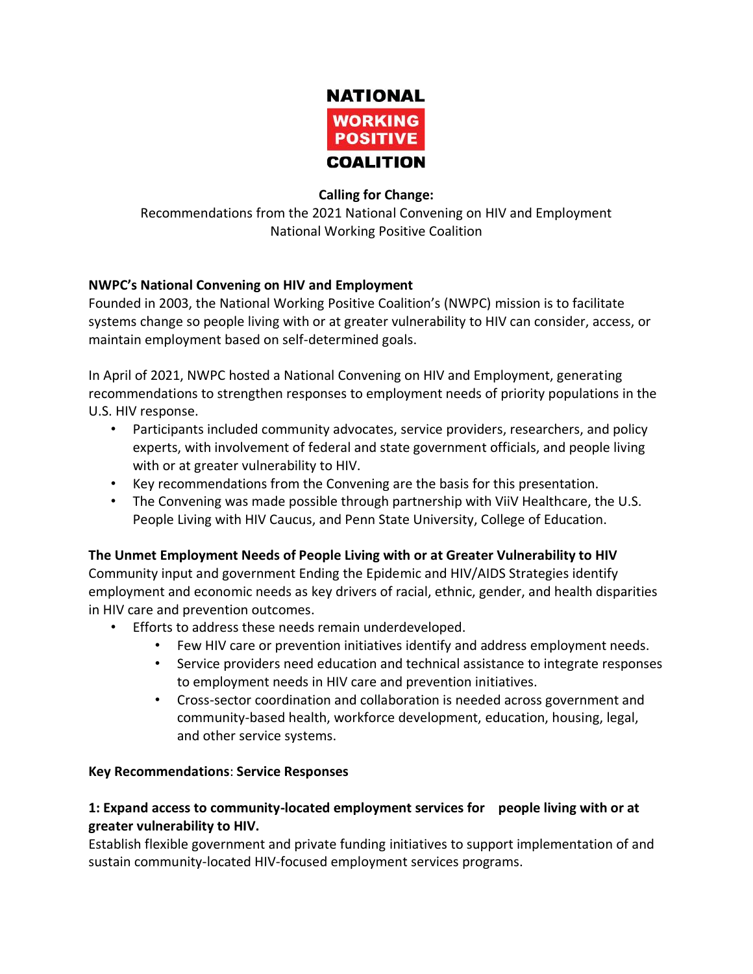

#### **Calling for Change:**

Recommendations from the 2021 National Convening on HIV and Employment National Working Positive Coalition

### **NWPC's National Convening on HIV and Employment**

Founded in 2003, the National Working Positive Coalition's (NWPC) mission is to facilitate systems change so people living with or at greater vulnerability to HIV can consider, access, or maintain employment based on self-determined goals.

In April of 2021, NWPC hosted a National Convening on HIV and Employment, generating recommendations to strengthen responses to employment needs of priority populations in the U.S. HIV response.

- Participants included community advocates, service providers, researchers, and policy experts, with involvement of federal and state government officials, and people living with or at greater vulnerability to HIV.
- Key recommendations from the Convening are the basis for this presentation.
- The Convening was made possible through partnership with ViiV Healthcare, the U.S. People Living with HIV Caucus, and Penn State University, College of Education.

### **The Unmet Employment Needs of People Living with or at Greater Vulnerability to HIV**

Community input and government Ending the Epidemic and HIV/AIDS Strategies identify employment and economic needs as key drivers of racial, ethnic, gender, and health disparities in HIV care and prevention outcomes.

- Efforts to address these needs remain underdeveloped.
	- Few HIV care or prevention initiatives identify and address employment needs.
	- Service providers need education and technical assistance to integrate responses to employment needs in HIV care and prevention initiatives.
	- Cross-sector coordination and collaboration is needed across government and community-based health, workforce development, education, housing, legal, and other service systems.

### **Key Recommendations**: **Service Responses**

### **1: Expand access to community-located employment services for people living with or at greater vulnerability to HIV.**

Establish flexible government and private funding initiatives to support implementation of and sustain community-located HIV-focused employment services programs.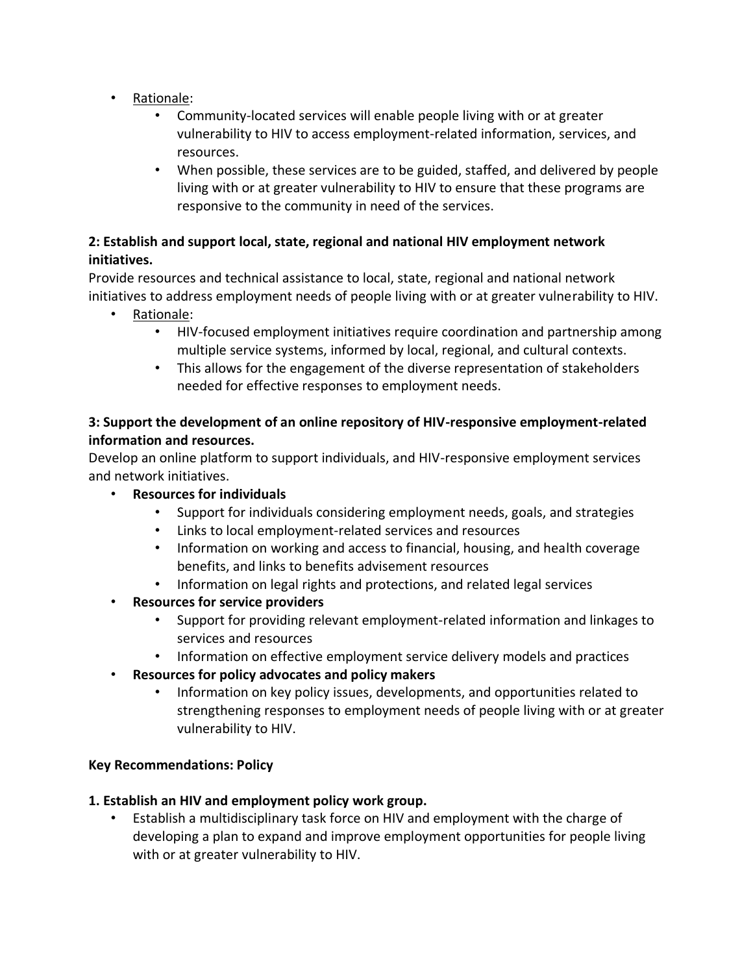- Rationale:
	- Community-located services will enable people living with or at greater vulnerability to HIV to access employment-related information, services, and resources.
	- When possible, these services are to be guided, staffed, and delivered by people living with or at greater vulnerability to HIV to ensure that these programs are responsive to the community in need of the services.

### **2: Establish and support local, state, regional and national HIV employment network initiatives.**

Provide resources and technical assistance to local, state, regional and national network initiatives to address employment needs of people living with or at greater vulnerability to HIV.

- Rationale:
	- HIV-focused employment initiatives require coordination and partnership among multiple service systems, informed by local, regional, and cultural contexts.
	- This allows for the engagement of the diverse representation of stakeholders needed for effective responses to employment needs.

### **3: Support the development of an online repository of HIV-responsive employment-related information and resources.**

Develop an online platform to support individuals, and HIV-responsive employment services and network initiatives.

- **Resources for individuals**
	- Support for individuals considering employment needs, goals, and strategies
	- Links to local employment-related services and resources
	- Information on working and access to financial, housing, and health coverage benefits, and links to benefits advisement resources
	- Information on legal rights and protections, and related legal services
- **Resources for service providers**
	- Support for providing relevant employment-related information and linkages to services and resources
	- Information on effective employment service delivery models and practices
- **Resources for policy advocates and policy makers**
	- Information on key policy issues, developments, and opportunities related to strengthening responses to employment needs of people living with or at greater vulnerability to HIV.

### **Key Recommendations: Policy**

### **1. Establish an HIV and employment policy work group.**

• Establish a multidisciplinary task force on HIV and employment with the charge of developing a plan to expand and improve employment opportunities for people living with or at greater vulnerability to HIV.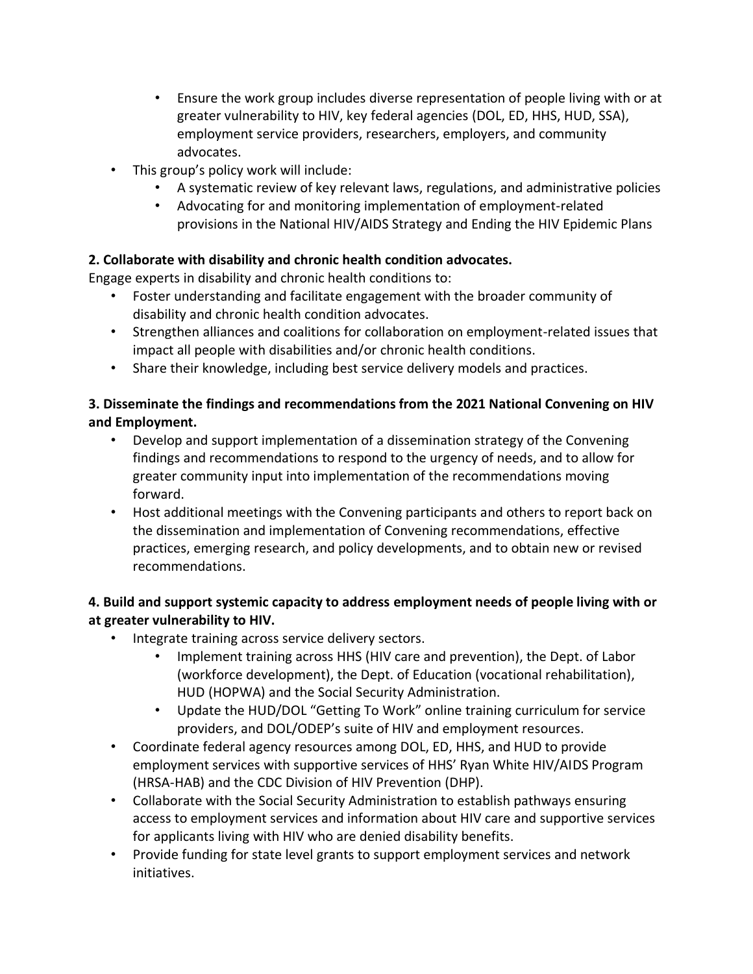- Ensure the work group includes diverse representation of people living with or at greater vulnerability to HIV, key federal agencies (DOL, ED, HHS, HUD, SSA), employment service providers, researchers, employers, and community advocates.
- This group's policy work will include:
	- A systematic review of key relevant laws, regulations, and administrative policies
	- Advocating for and monitoring implementation of employment-related provisions in the National HIV/AIDS Strategy and Ending the HIV Epidemic Plans

# **2. Collaborate with disability and chronic health condition advocates.**

Engage experts in disability and chronic health conditions to:

- Foster understanding and facilitate engagement with the broader community of disability and chronic health condition advocates.
- Strengthen alliances and coalitions for collaboration on employment-related issues that impact all people with disabilities and/or chronic health conditions.
- Share their knowledge, including best service delivery models and practices.

## **3. Disseminate the findings and recommendations from the 2021 National Convening on HIV and Employment.**

- Develop and support implementation of a dissemination strategy of the Convening findings and recommendations to respond to the urgency of needs, and to allow for greater community input into implementation of the recommendations moving forward.
- Host additional meetings with the Convening participants and others to report back on the dissemination and implementation of Convening recommendations, effective practices, emerging research, and policy developments, and to obtain new or revised recommendations.

# **4. Build and support systemic capacity to address employment needs of people living with or at greater vulnerability to HIV.**

- Integrate training across service delivery sectors.
	- Implement training across HHS (HIV care and prevention), the Dept. of Labor (workforce development), the Dept. of Education (vocational rehabilitation), HUD (HOPWA) and the Social Security Administration.
	- Update the HUD/DOL "Getting To Work" online training curriculum for service providers, and DOL/ODEP's suite of HIV and employment resources.
- Coordinate federal agency resources among DOL, ED, HHS, and HUD to provide employment services with supportive services of HHS' Ryan White HIV/AIDS Program (HRSA-HAB) and the CDC Division of HIV Prevention (DHP).
- Collaborate with the Social Security Administration to establish pathways ensuring access to employment services and information about HIV care and supportive services for applicants living with HIV who are denied disability benefits.
- Provide funding for state level grants to support employment services and network initiatives.